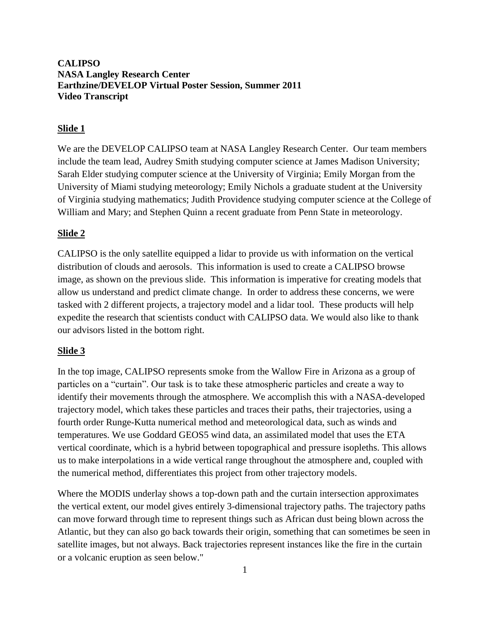# **CALIPSO NASA Langley Research Center Earthzine/DEVELOP Virtual Poster Session, Summer 2011 Video Transcript**

# **Slide 1**

We are the DEVELOP CALIPSO team at NASA Langley Research Center. Our team members include the team lead, Audrey Smith studying computer science at James Madison University; Sarah Elder studying computer science at the University of Virginia; Emily Morgan from the University of Miami studying meteorology; Emily Nichols a graduate student at the University of Virginia studying mathematics; Judith Providence studying computer science at the College of William and Mary; and Stephen Quinn a recent graduate from Penn State in meteorology.

### **Slide 2**

CALIPSO is the only satellite equipped a lidar to provide us with information on the vertical distribution of clouds and aerosols. This information is used to create a CALIPSO browse image, as shown on the previous slide. This information is imperative for creating models that allow us understand and predict climate change. In order to address these concerns, we were tasked with 2 different projects, a trajectory model and a lidar tool. These products will help expedite the research that scientists conduct with CALIPSO data. We would also like to thank our advisors listed in the bottom right.

#### **Slide 3**

In the top image, CALIPSO represents smoke from the Wallow Fire in Arizona as a group of particles on a "curtain". Our task is to take these atmospheric particles and create a way to identify their movements through the atmosphere. We accomplish this with a NASA-developed trajectory model, which takes these particles and traces their paths, their trajectories, using a fourth order Runge-Kutta numerical method and meteorological data, such as winds and temperatures. We use Goddard GEOS5 wind data, an assimilated model that uses the ETA vertical coordinate, which is a hybrid between topographical and pressure isopleths. This allows us to make interpolations in a wide vertical range throughout the atmosphere and, coupled with the numerical method, differentiates this project from other trajectory models.

Where the MODIS underlay shows a top-down path and the curtain intersection approximates the vertical extent, our model gives entirely 3-dimensional trajectory paths. The trajectory paths can move forward through time to represent things such as African dust being blown across the Atlantic, but they can also go back towards their origin, something that can sometimes be seen in satellite images, but not always. Back trajectories represent instances like the fire in the curtain or a volcanic eruption as seen below."